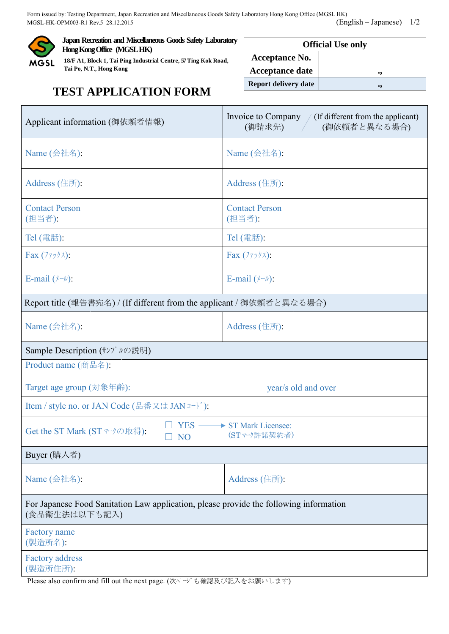Form issued by: Testing Department, Japan Recreation and Miscellaneous Goods Safety Laboratory Hong Kong Office (MGSL HK) MGSL-HK-OPM003-R1 Rev.5 28.12.2015 (English – Japanese) 1/2



**Japan Recreation and Miscellaneous Goods Safety Laboratory Hong Kong Office (MGSL HK)**

**18/F A1, Block 1, Tai Ping Industrial Centre, 57Ting Kok Road, Tai Po, N.T., Hong Kong**

| <b>Official Use only</b>    |    |  |  |  |
|-----------------------------|----|--|--|--|
| <b>Acceptance No.</b>       |    |  |  |  |
| <b>Acceptance date</b>      | ., |  |  |  |
| <b>Report delivery date</b> | ., |  |  |  |

## **TEST APPLICATION FORM**

| Applicant information (御依頼者情報)                                                                          | Invoice to Company $\frac{1}{1}$ (If different from the applicant)<br>(御依頼者と異なる場合)<br>(御請求先) |  |  |  |
|---------------------------------------------------------------------------------------------------------|----------------------------------------------------------------------------------------------|--|--|--|
| Name (会社名):                                                                                             | $Name$ (会社名):                                                                                |  |  |  |
| Address (住所):                                                                                           | Address (住所):                                                                                |  |  |  |
| <b>Contact Person</b><br>(担当者):                                                                         | <b>Contact Person</b><br>(担当者):                                                              |  |  |  |
| Tel (電話):                                                                                               | Tel (電話):                                                                                    |  |  |  |
| Fax $(7797)$ :                                                                                          | Fax $(7797)$ :                                                                               |  |  |  |
| E-mail $(\n \sqrt{y} - \nu)$ :                                                                          | E-mail $(\nmid \neg \nu)$ :                                                                  |  |  |  |
| Report title (報告書宛名) / (If different from the applicant / 御依頼者と異なる場合)                                   |                                                                                              |  |  |  |
| Name (会社名):                                                                                             | Address (住所):                                                                                |  |  |  |
| Sample Description (サンプルの説明)                                                                            |                                                                                              |  |  |  |
| Product name (商品名):                                                                                     |                                                                                              |  |  |  |
| Target age group (対象年齢):                                                                                | year/s old and over                                                                          |  |  |  |
| Item / style no. or JAN Code (品番又は JAN コード):                                                            |                                                                                              |  |  |  |
| Get the ST Mark (STマークの取得):<br><b>NO</b>                                                                | YES - ST Mark Licensee:<br>(ST マーク許諾契約者)                                                     |  |  |  |
| Buyer (購入者)                                                                                             |                                                                                              |  |  |  |
| Name (会社名):                                                                                             | Address (住所):                                                                                |  |  |  |
| For Japanese Food Sanitation Law application, please provide the following information<br>(食品衛生法は以下も記入) |                                                                                              |  |  |  |
| <b>Factory</b> name<br>(製造所名):                                                                          |                                                                                              |  |  |  |
| <b>Factory address</b><br>(製造所住所):                                                                      |                                                                                              |  |  |  |
| Please also confirm and fill out the next page. (次ページも確認及び記入をお願いします)                                    |                                                                                              |  |  |  |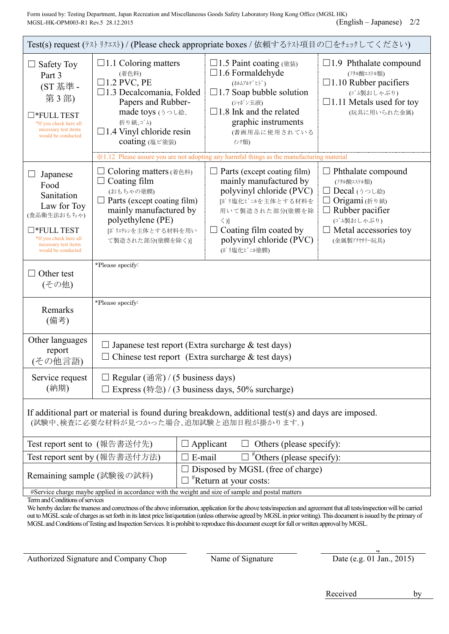Form issued by: Testing Department, Japan Recreation and Miscellaneous Goods Safety Laboratory Hong Kong Office (MGSL HK) MGSL-HK-OPM003-R1 Rev.5 28.12.2015 (English – Japanese) 2/2

| Test(s) request (テストリクエスト) / (Please check appropriate boxes / 依頼するテスト項目の口をチェックしてください)                                                                                                                                                                                                                                                                                                                                                                                                            |                                                                                                                                                                                                            |                                                                                                                                                                                                                                                                                                     |                                                                                                                                                             |  |  |
|---------------------------------------------------------------------------------------------------------------------------------------------------------------------------------------------------------------------------------------------------------------------------------------------------------------------------------------------------------------------------------------------------------------------------------------------------------------------------------------------------|------------------------------------------------------------------------------------------------------------------------------------------------------------------------------------------------------------|-----------------------------------------------------------------------------------------------------------------------------------------------------------------------------------------------------------------------------------------------------------------------------------------------------|-------------------------------------------------------------------------------------------------------------------------------------------------------------|--|--|
| <b>Safety Toy</b><br>Part 3<br>(ST 基準 -<br>第3部)<br>$\square$ *FULL TEST<br>*If you check here all<br>necessary test items<br>would be conducted                                                                                                                                                                                                                                                                                                                                                   | $\Box$ 1.1 Coloring matters<br>(着色料)<br>$\square$ 1.2 PVC, PE<br>$\Box$ 1.3 Decalcomania, Folded<br>Papers and Rubber-<br>made toys (うつし絵、<br>折り紙、ゴム)<br>$\Box$ 1.4 Vinyl chloride resin<br>coating (塩ビ塗装) | □1.5 Paint coating (塗装)<br>$\Box$ 1.6 Formaldehyde<br>(ホルムアルテ ゙ヒト ゙)<br>$\Box$ 1.7 Soap bubble solution<br>(シャボン玉液)<br>$\Box$ 1.8 Ink and the related<br>graphic instruments<br>(書画用品に使用されている<br>インク類)<br>※1.12 Please assure you are not adopting any harmful things as the manufacturing material | $\Box$ 1.9 Phthalate compound<br>(フタル酸エステル類)<br>$\Box$ 1.10 Rubber pacifiers<br>(ゴム製おしゃぶり)<br>$\Box$ 1.11 Metals used for toy<br>(玩具に用いられた金属)               |  |  |
| Japanese<br>Food<br>Sanitation<br>Law for Toy<br>(食品衛生法おもちゃ)<br>$\square$ *FULL TEST<br>*If you check here all<br>necessary test items<br>would be conducted                                                                                                                                                                                                                                                                                                                                      | Coloring matters ( $\# \oplus \#$ )<br>Coating film<br>(おもちゃの塗膜)<br>$\Box$ Parts (except coating film)<br>mainly manufactured by<br>polyethylene (PE)<br>「ポリエチレンを主体とする材料を用い<br>て製造された部分(塗膜を除く)]            | $\Box$ Parts (except coating film)<br>mainly manufactured by<br>polyvinyl chloride (PVC)<br>「ポリ塩化ビニルを主体とする材料を<br>用いて製造された部分(塗膜を除<br>$\langle$ )]<br>$\Box$ Coating film coated by<br>polyvinyl chloride (PVC)<br>(ポリ塩化ビニル塗膜)                                                                        | Phthalate compound<br>ш<br>(フタル酸エステル類)<br>□ Decal (うつし絵)<br>Origami (折り紙)<br>Rubber pacifier<br>(ゴム製おしゃぶり)<br>$\Box$ Metal accessories toy<br>(金属製アクセサリー玩具) |  |  |
| Other test<br>(その他)                                                                                                                                                                                                                                                                                                                                                                                                                                                                               | *Please specify:                                                                                                                                                                                           |                                                                                                                                                                                                                                                                                                     |                                                                                                                                                             |  |  |
| Remarks<br>(備考)                                                                                                                                                                                                                                                                                                                                                                                                                                                                                   | *Please specify:                                                                                                                                                                                           |                                                                                                                                                                                                                                                                                                     |                                                                                                                                                             |  |  |
| Other languages<br>Japanese test report (Extra surcharge $&$ test days)<br>report<br>Chinese test report (Extra surcharge $&$ test days)<br>(その他言語)                                                                                                                                                                                                                                                                                                                                               |                                                                                                                                                                                                            |                                                                                                                                                                                                                                                                                                     |                                                                                                                                                             |  |  |
| Service request<br>(納期)                                                                                                                                                                                                                                                                                                                                                                                                                                                                           | Regular $(\n\text{#}\n\#) / (5 \text{ business days})$<br>Express (特急) / (3 business days, 50% surcharge)                                                                                                  |                                                                                                                                                                                                                                                                                                     |                                                                                                                                                             |  |  |
| If additional part or material is found during breakdown, additional test(s) and days are imposed.<br>(試験中、検査に必要な材料が見つかった場合、追加試験と追加日程が掛かります。)                                                                                                                                                                                                                                                                                                                                                     |                                                                                                                                                                                                            |                                                                                                                                                                                                                                                                                                     |                                                                                                                                                             |  |  |
| Test report sent to (報告書送付先)<br>Applicant<br>Others (please specify):<br>$\Box$                                                                                                                                                                                                                                                                                                                                                                                                                   |                                                                                                                                                                                                            |                                                                                                                                                                                                                                                                                                     |                                                                                                                                                             |  |  |
|                                                                                                                                                                                                                                                                                                                                                                                                                                                                                                   | Test report sent by (報告書送付方法)                                                                                                                                                                              | $\Box$ #Others (please specify):<br>E-mail                                                                                                                                                                                                                                                          |                                                                                                                                                             |  |  |
| Disposed by MGSL (free of charge)<br>Remaining sample (試験後の試料)<br><i>k</i> Return at your costs:                                                                                                                                                                                                                                                                                                                                                                                                  |                                                                                                                                                                                                            |                                                                                                                                                                                                                                                                                                     |                                                                                                                                                             |  |  |
| #Service charge maybe applied in accordance with the weight and size of sample and postal matters<br>Term and Conditions of services<br>We hereby declare the trueness and correctness of the above information, application for the above tests/inspection and agreement that all tests/inspection will be carried<br>out to MCSL scale of charges as set forth in its latest price list/quotation (unless otherwise agreed by MCSL in prior writing). This document is issued by the primary of |                                                                                                                                                                                                            |                                                                                                                                                                                                                                                                                                     |                                                                                                                                                             |  |  |

out to MGSL scale of charges as set forth in its latest price list/quotation (unless otherwise agreed by MGSL in prior writing). This document is issued by the primary of MGSL and Conditions of Testing and Inspection Services. It is prohibit to reproduce this document except for full or written approval by MGSL.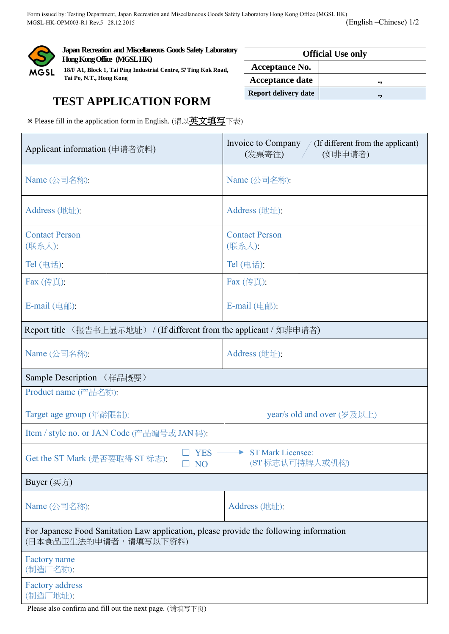

**Japan Recreation and Miscellaneous Goods Safety Laboratory Hong Kong Office (MGSL HK)**

**18/F A1, Block 1, Tai Ping Industrial Centre, 57Ting Kok Road, Tai Po, N.T., Hong Kong**

## **Official Use only Acceptance No. Acceptance date ., Report delivery date**  $\vert$ ,

## **TEST APPLICATION FORM**

※ Please fill in the application form in English. (请以英文填写下表)

| Applicant information (申请者资料)                                                                                   | Invoice to Company /<br>(If different from the applicant)<br>(发票寄往)<br>(如非申请者) |  |  |  |  |
|-----------------------------------------------------------------------------------------------------------------|--------------------------------------------------------------------------------|--|--|--|--|
| Name (公司名称):                                                                                                    | Name (公司名称):                                                                   |  |  |  |  |
| Address (地址):                                                                                                   | Address (地址):                                                                  |  |  |  |  |
| <b>Contact Person</b><br>(联系人):                                                                                 | <b>Contact Person</b><br>(联系人):                                                |  |  |  |  |
| Tel (电话):                                                                                                       | Tel (电话):                                                                      |  |  |  |  |
| Fax (传真):                                                                                                       | Fax (传真):                                                                      |  |  |  |  |
| E-mail (电邮):                                                                                                    | $E$ -mail $($ 电邮):                                                             |  |  |  |  |
| Report title (报告书上显示地址) / (If different from the applicant / 如非申请者)                                             |                                                                                |  |  |  |  |
| Name (公司名称):                                                                                                    | Address (地址):                                                                  |  |  |  |  |
| Sample Description (样品概要)                                                                                       |                                                                                |  |  |  |  |
| Product name (产品名称):                                                                                            |                                                                                |  |  |  |  |
| Target age group (年龄限制):                                                                                        | year/s old and over (岁及以上)                                                     |  |  |  |  |
| Item / style no. or JAN Code (产品编号或 JAN 码):                                                                     |                                                                                |  |  |  |  |
| <b>YES</b><br>Get the ST Mark (是否要取得 ST 标志):<br>N <sub>O</sub>                                                  | <b>ST Mark Licensee:</b><br>(ST标志认可持牌人或机构)                                     |  |  |  |  |
| Buyer $(\overline{\mathcal{K}})$                                                                                |                                                                                |  |  |  |  |
| Name (公司名称):                                                                                                    | Address (地址):                                                                  |  |  |  |  |
| For Japanese Food Sanitation Law application, please provide the following information<br>(日本食品卫生法的申请者,请填写以下资料) |                                                                                |  |  |  |  |
| Factory name<br>(制造厂名称):                                                                                        |                                                                                |  |  |  |  |
| <b>Factory address</b><br>(制造厂地址):                                                                              |                                                                                |  |  |  |  |
| Please also confirm and fill out the next page. (请填写下页)                                                         |                                                                                |  |  |  |  |